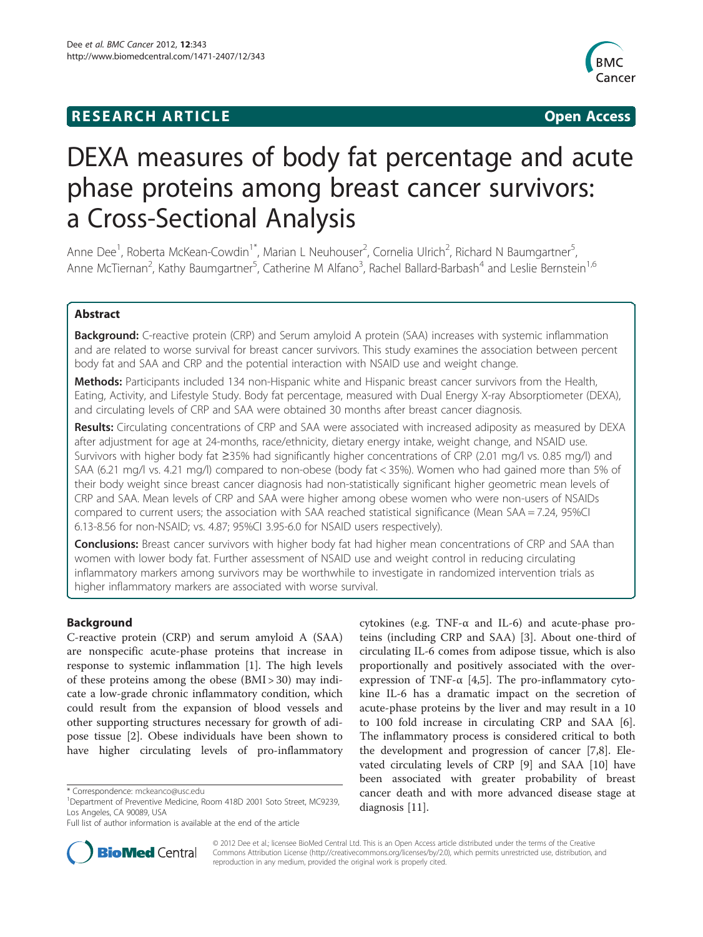# **RESEARCH ARTICLE Example 2014 12:30 The SEAR CHIPS 2014 12:30 The Open Access**



# DEXA measures of body fat percentage and acute phase proteins among breast cancer survivors: a Cross-Sectional Analysis

Anne Dee<sup>1</sup>, Roberta McKean-Cowdin<sup>1\*</sup>, Marian L Neuhouser<sup>2</sup>, Cornelia Ulrich<sup>2</sup>, Richard N Baumgartner<sup>5</sup> , Anne McTiernan<sup>2</sup>, Kathy Baumgartner<sup>5</sup>, Catherine M Alfano<sup>3</sup>, Rachel Ballard-Barbash<sup>4</sup> and Leslie Bernstein<sup>1,6</sup>

# Abstract

Background: C-reactive protein (CRP) and Serum amyloid A protein (SAA) increases with systemic inflammation and are related to worse survival for breast cancer survivors. This study examines the association between percent body fat and SAA and CRP and the potential interaction with NSAID use and weight change.

Methods: Participants included 134 non-Hispanic white and Hispanic breast cancer survivors from the Health, Eating, Activity, and Lifestyle Study. Body fat percentage, measured with Dual Energy X-ray Absorptiometer (DEXA), and circulating levels of CRP and SAA were obtained 30 months after breast cancer diagnosis.

Results: Circulating concentrations of CRP and SAA were associated with increased adiposity as measured by DEXA after adjustment for age at 24-months, race/ethnicity, dietary energy intake, weight change, and NSAID use. Survivors with higher body fat ≥35% had significantly higher concentrations of CRP (2.01 mg/l vs. 0.85 mg/l) and SAA (6.21 mg/l vs. 4.21 mg/l) compared to non-obese (body fat < 35%). Women who had gained more than 5% of their body weight since breast cancer diagnosis had non-statistically significant higher geometric mean levels of CRP and SAA. Mean levels of CRP and SAA were higher among obese women who were non-users of NSAIDs compared to current users; the association with SAA reached statistical significance (Mean SAA = 7.24, 95%CI 6.13-8.56 for non-NSAID; vs. 4.87; 95%CI 3.95-6.0 for NSAID users respectively).

**Conclusions:** Breast cancer survivors with higher body fat had higher mean concentrations of CRP and SAA than women with lower body fat. Further assessment of NSAID use and weight control in reducing circulating inflammatory markers among survivors may be worthwhile to investigate in randomized intervention trials as higher inflammatory markers are associated with worse survival.

# Background

C-reactive protein (CRP) and serum amyloid A (SAA) are nonspecific acute-phase proteins that increase in response to systemic inflammation [[1\]](#page-8-0). The high levels of these proteins among the obese (BMI > 30) may indicate a low-grade chronic inflammatory condition, which could result from the expansion of blood vessels and other supporting structures necessary for growth of adipose tissue [[2\]](#page-8-0). Obese individuals have been shown to have higher circulating levels of pro-inflammatory

cytokines (e.g. TNF-α and IL-6) and acute-phase proteins (including CRP and SAA) [\[3\]](#page-8-0). About one-third of circulating IL-6 comes from adipose tissue, which is also proportionally and positively associated with the overexpression of TNF-α [[4](#page-8-0),[5\]](#page-8-0). The pro-inflammatory cytokine IL-6 has a dramatic impact on the secretion of acute-phase proteins by the liver and may result in a 10 to 100 fold increase in circulating CRP and SAA [\[6](#page-8-0)]. The inflammatory process is considered critical to both the development and progression of cancer [\[7,8](#page-8-0)]. Elevated circulating levels of CRP [[9\]](#page-8-0) and SAA [[10](#page-8-0)] have been associated with greater probability of breast cancer death and with more advanced disease stage at diagnosis [\[11](#page-8-0)].



© 2012 Dee et al.; licensee BioMed Central Ltd. This is an Open Access article distributed under the terms of the Creative Commons Attribution License [\(http://creativecommons.org/licenses/by/2.0\)](http://creativecommons.org/licenses/by/2.0), which permits unrestricted use, distribution, and reproduction in any medium, provided the original work is properly cited.

<sup>\*</sup> Correspondence: [mckeanco@usc.edu](mailto:mckeanco@usc.edu) <sup>1</sup>

<sup>&</sup>lt;sup>1</sup>Department of Preventive Medicine, Room 418D 2001 Soto Street, MC9239, Los Angeles, CA 90089, USA

Full list of author information is available at the end of the article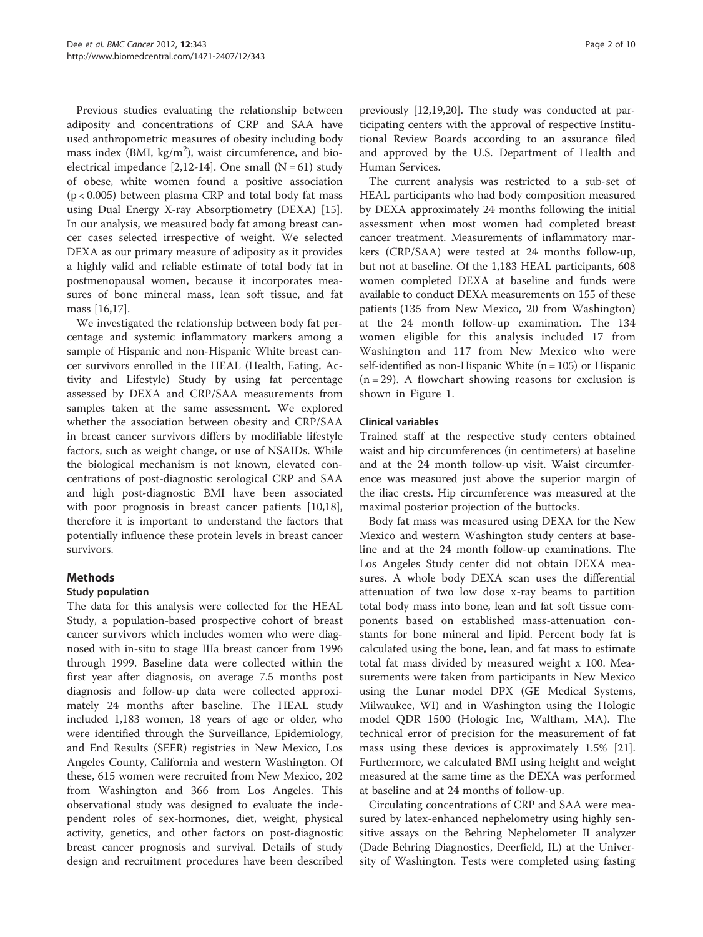Previous studies evaluating the relationship between adiposity and concentrations of CRP and SAA have used anthropometric measures of obesity including body mass index (BMI,  $\text{kg/m}^2$ ), waist circumference, and bioelectrical impedance  $[2,12-14]$  $[2,12-14]$ . One small  $(N = 61)$  study of obese, white women found a positive association (p < 0.005) between plasma CRP and total body fat mass using Dual Energy X-ray Absorptiometry (DEXA) [\[15](#page-8-0)]. In our analysis, we measured body fat among breast cancer cases selected irrespective of weight. We selected DEXA as our primary measure of adiposity as it provides a highly valid and reliable estimate of total body fat in postmenopausal women, because it incorporates measures of bone mineral mass, lean soft tissue, and fat mass [\[16,17\]](#page-8-0).

We investigated the relationship between body fat percentage and systemic inflammatory markers among a sample of Hispanic and non-Hispanic White breast cancer survivors enrolled in the HEAL (Health, Eating, Activity and Lifestyle) Study by using fat percentage assessed by DEXA and CRP/SAA measurements from samples taken at the same assessment. We explored whether the association between obesity and CRP/SAA in breast cancer survivors differs by modifiable lifestyle factors, such as weight change, or use of NSAIDs. While the biological mechanism is not known, elevated concentrations of post-diagnostic serological CRP and SAA and high post-diagnostic BMI have been associated with poor prognosis in breast cancer patients [\[10,18](#page-8-0)], therefore it is important to understand the factors that potentially influence these protein levels in breast cancer survivors.

# Methods

# Study population

The data for this analysis were collected for the HEAL Study, a population-based prospective cohort of breast cancer survivors which includes women who were diagnosed with in-situ to stage IIIa breast cancer from 1996 through 1999. Baseline data were collected within the first year after diagnosis, on average 7.5 months post diagnosis and follow-up data were collected approximately 24 months after baseline. The HEAL study included 1,183 women, 18 years of age or older, who were identified through the Surveillance, Epidemiology, and End Results (SEER) registries in New Mexico, Los Angeles County, California and western Washington. Of these, 615 women were recruited from New Mexico, 202 from Washington and 366 from Los Angeles. This observational study was designed to evaluate the independent roles of sex-hormones, diet, weight, physical activity, genetics, and other factors on post-diagnostic breast cancer prognosis and survival. Details of study design and recruitment procedures have been described

previously [[12](#page-8-0),[19,20](#page-8-0)]. The study was conducted at participating centers with the approval of respective Institutional Review Boards according to an assurance filed and approved by the U.S. Department of Health and Human Services.

The current analysis was restricted to a sub-set of HEAL participants who had body composition measured by DEXA approximately 24 months following the initial assessment when most women had completed breast cancer treatment. Measurements of inflammatory markers (CRP/SAA) were tested at 24 months follow-up, but not at baseline. Of the 1,183 HEAL participants, 608 women completed DEXA at baseline and funds were available to conduct DEXA measurements on 155 of these patients (135 from New Mexico, 20 from Washington) at the 24 month follow-up examination. The 134 women eligible for this analysis included 17 from Washington and 117 from New Mexico who were self-identified as non-Hispanic White  $(n = 105)$  or Hispanic  $(n = 29)$ . A flowchart showing reasons for exclusion is shown in Figure [1.](#page-2-0)

### Clinical variables

Trained staff at the respective study centers obtained waist and hip circumferences (in centimeters) at baseline and at the 24 month follow-up visit. Waist circumference was measured just above the superior margin of the iliac crests. Hip circumference was measured at the maximal posterior projection of the buttocks.

Body fat mass was measured using DEXA for the New Mexico and western Washington study centers at baseline and at the 24 month follow-up examinations. The Los Angeles Study center did not obtain DEXA measures. A whole body DEXA scan uses the differential attenuation of two low dose x-ray beams to partition total body mass into bone, lean and fat soft tissue components based on established mass-attenuation constants for bone mineral and lipid. Percent body fat is calculated using the bone, lean, and fat mass to estimate total fat mass divided by measured weight x 100. Measurements were taken from participants in New Mexico using the Lunar model DPX (GE Medical Systems, Milwaukee, WI) and in Washington using the Hologic model QDR 1500 (Hologic Inc, Waltham, MA). The technical error of precision for the measurement of fat mass using these devices is approximately 1.5% [\[21](#page-8-0)]. Furthermore, we calculated BMI using height and weight measured at the same time as the DEXA was performed at baseline and at 24 months of follow-up.

Circulating concentrations of CRP and SAA were measured by latex-enhanced nephelometry using highly sensitive assays on the Behring Nephelometer II analyzer (Dade Behring Diagnostics, Deerfield, IL) at the University of Washington. Tests were completed using fasting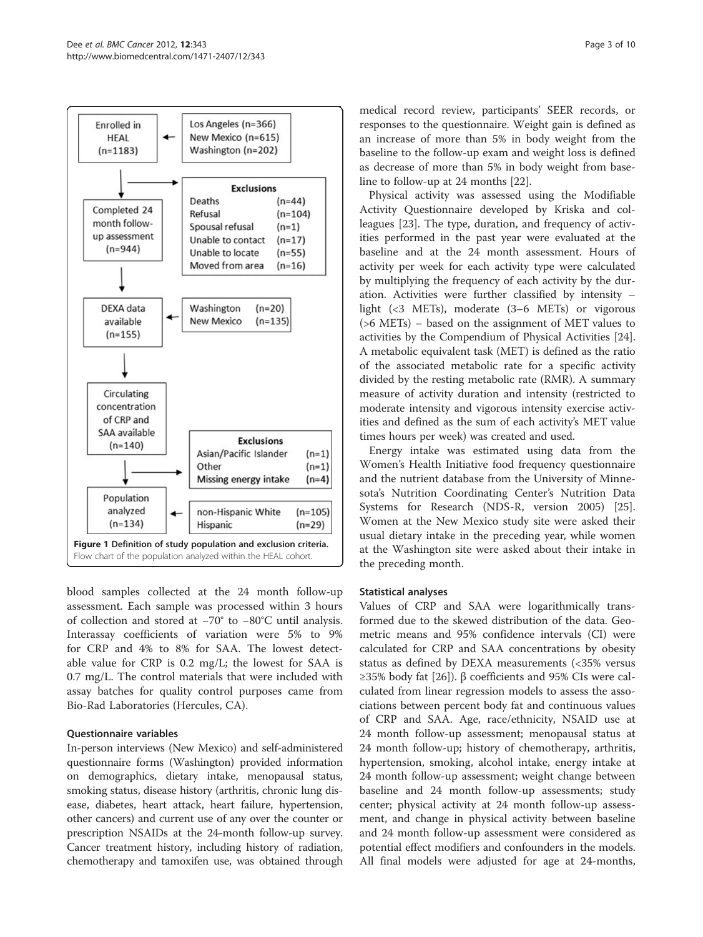<span id="page-2-0"></span>

blood samples collected at the 24 month follow-up assessment. Each sample was processed within 3 hours of collection and stored at −70° to −80°C until analysis. Interassay coefficients of variation were 5% to 9% for CRP and 4% to 8% for SAA. The lowest detectable value for CRP is 0.2 mg/L; the lowest for SAA is 0.7 mg/L. The control materials that were included with assay batches for quality control purposes came from Bio-Rad Laboratories (Hercules, CA).

#### Questionnaire variables

In-person interviews (New Mexico) and self-administered questionnaire forms (Washington) provided information on demographics, dietary intake, menopausal status, smoking status, disease history (arthritis, chronic lung disease, diabetes, heart attack, heart failure, hypertension, other cancers) and current use of any over the counter or prescription NSAIDs at the 24-month follow-up survey. Cancer treatment history, including history of radiation, chemotherapy and tamoxifen use, was obtained through

medical record review, participants' SEER records, or responses to the questionnaire. Weight gain is defined as an increase of more than 5% in body weight from the baseline to the follow-up exam and weight loss is defined as decrease of more than 5% in body weight from baseline to follow-up at 24 months [[22](#page-9-0)].

Physical activity was assessed using the Modifiable Activity Questionnaire developed by Kriska and colleagues [[23\]](#page-9-0). The type, duration, and frequency of activities performed in the past year were evaluated at the baseline and at the 24 month assessment. Hours of activity per week for each activity type were calculated by multiplying the frequency of each activity by the duration. Activities were further classified by intensity – light (<3 METs), moderate (3–6 METs) or vigorous (>6 METs) – based on the assignment of MET values to activities by the Compendium of Physical Activities [[24](#page-9-0)]. A metabolic equivalent task (MET) is defined as the ratio of the associated metabolic rate for a specific activity divided by the resting metabolic rate (RMR). A summary measure of activity duration and intensity (restricted to moderate intensity and vigorous intensity exercise activities and defined as the sum of each activity's MET value times hours per week) was created and used.

Energy intake was estimated using data from the Women's Health Initiative food frequency questionnaire and the nutrient database from the University of Minnesota's Nutrition Coordinating Center's Nutrition Data Systems for Research (NDS-R, version 2005) [\[25](#page-9-0)]. Women at the New Mexico study site were asked their usual dietary intake in the preceding year, while women at the Washington site were asked about their intake in the preceding month.

#### Statistical analyses

Values of CRP and SAA were logarithmically transformed due to the skewed distribution of the data. Geometric means and 95% confidence intervals (CI) were calculated for CRP and SAA concentrations by obesity status as defined by DEXA measurements (<35% versus ≥35% body fat [\[26\]](#page-9-0)). β coefficients and 95% CIs were calculated from linear regression models to assess the associations between percent body fat and continuous values of CRP and SAA. Age, race/ethnicity, NSAID use at 24 month follow-up assessment; menopausal status at 24 month follow-up; history of chemotherapy, arthritis, hypertension, smoking, alcohol intake, energy intake at 24 month follow-up assessment; weight change between baseline and 24 month follow-up assessments; study center; physical activity at 24 month follow-up assessment, and change in physical activity between baseline and 24 month follow-up assessment were considered as potential effect modifiers and confounders in the models. All final models were adjusted for age at 24-months,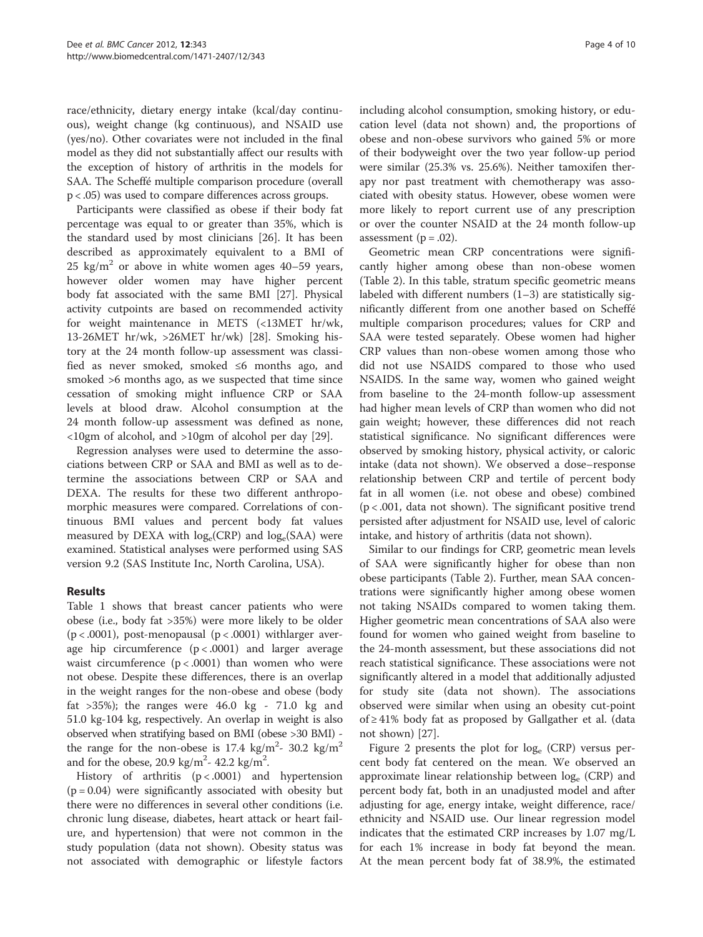race/ethnicity, dietary energy intake (kcal/day continuous), weight change (kg continuous), and NSAID use (yes/no). Other covariates were not included in the final model as they did not substantially affect our results with the exception of history of arthritis in the models for SAA. The Scheffé multiple comparison procedure (overall p < .05) was used to compare differences across groups.

Participants were classified as obese if their body fat percentage was equal to or greater than 35%, which is the standard used by most clinicians [\[26](#page-9-0)]. It has been described as approximately equivalent to a BMI of 25 kg/m<sup>2</sup> or above in white women ages  $40-59$  years, however older women may have higher percent body fat associated with the same BMI [\[27](#page-9-0)]. Physical activity cutpoints are based on recommended activity for weight maintenance in METS (<13MET hr/wk, 13-26MET hr/wk, >26MET hr/wk) [\[28](#page-9-0)]. Smoking history at the 24 month follow-up assessment was classified as never smoked, smoked ≤6 months ago, and smoked >6 months ago, as we suspected that time since cessation of smoking might influence CRP or SAA levels at blood draw. Alcohol consumption at the 24 month follow-up assessment was defined as none, <10gm of alcohol, and >10gm of alcohol per day [[29\]](#page-9-0).

Regression analyses were used to determine the associations between CRP or SAA and BMI as well as to determine the associations between CRP or SAA and DEXA. The results for these two different anthropomorphic measures were compared. Correlations of continuous BMI values and percent body fat values measured by DEXA with  $log_e(CRP)$  and  $log_e(SAA)$  were examined. Statistical analyses were performed using SAS version 9.2 (SAS Institute Inc, North Carolina, USA).

# Results

Table [1](#page-4-0) shows that breast cancer patients who were obese (i.e., body fat >35%) were more likely to be older ( $p < .0001$ ), post-menopausal ( $p < .0001$ ) withlarger average hip circumference  $(p < .0001)$  and larger average waist circumference  $(p < .0001)$  than women who were not obese. Despite these differences, there is an overlap in the weight ranges for the non-obese and obese (body fat  $>35\%$ ; the ranges were 46.0 kg - 71.0 kg and 51.0 kg-104 kg, respectively. An overlap in weight is also observed when stratifying based on BMI (obese >30 BMI) the range for the non-obese is 17.4 kg/m<sup>2</sup>- 30.2 kg/m<sup>2</sup> and for the obese, 20.9 kg/m<sup>2</sup>- 42.2 kg/m<sup>2</sup>.

History of arthritis  $(p < .0001)$  and hypertension  $(p = 0.04)$  were significantly associated with obesity but there were no differences in several other conditions (i.e. chronic lung disease, diabetes, heart attack or heart failure, and hypertension) that were not common in the study population (data not shown). Obesity status was not associated with demographic or lifestyle factors including alcohol consumption, smoking history, or education level (data not shown) and, the proportions of obese and non-obese survivors who gained 5% or more of their bodyweight over the two year follow-up period were similar (25.3% vs. 25.6%). Neither tamoxifen therapy nor past treatment with chemotherapy was associated with obesity status. However, obese women were more likely to report current use of any prescription or over the counter NSAID at the 24 month follow-up assessment ( $p = .02$ ).

Geometric mean CRP concentrations were significantly higher among obese than non-obese women (Table [2](#page-5-0)). In this table, stratum specific geometric means labeled with different numbers (1–3) are statistically significantly different from one another based on Scheffé multiple comparison procedures; values for CRP and SAA were tested separately. Obese women had higher CRP values than non-obese women among those who did not use NSAIDS compared to those who used NSAIDS. In the same way, women who gained weight from baseline to the 24-month follow-up assessment had higher mean levels of CRP than women who did not gain weight; however, these differences did not reach statistical significance. No significant differences were observed by smoking history, physical activity, or caloric intake (data not shown). We observed a dose–response relationship between CRP and tertile of percent body fat in all women (i.e. not obese and obese) combined  $(p < .001$ , data not shown). The significant positive trend persisted after adjustment for NSAID use, level of caloric intake, and history of arthritis (data not shown).

Similar to our findings for CRP, geometric mean levels of SAA were significantly higher for obese than non obese participants (Table [2](#page-5-0)). Further, mean SAA concentrations were significantly higher among obese women not taking NSAIDs compared to women taking them. Higher geometric mean concentrations of SAA also were found for women who gained weight from baseline to the 24-month assessment, but these associations did not reach statistical significance. These associations were not significantly altered in a model that additionally adjusted for study site (data not shown). The associations observed were similar when using an obesity cut-point of ≥ 41% body fat as proposed by Gallgather et al. (data not shown) [\[27](#page-9-0)].

Figure [2](#page-5-0) presents the plot for  $log_e$  (CRP) versus percent body fat centered on the mean. We observed an approximate linear relationship between  $log_e$  (CRP) and percent body fat, both in an unadjusted model and after adjusting for age, energy intake, weight difference, race/ ethnicity and NSAID use. Our linear regression model indicates that the estimated CRP increases by 1.07 mg/L for each 1% increase in body fat beyond the mean. At the mean percent body fat of 38.9%, the estimated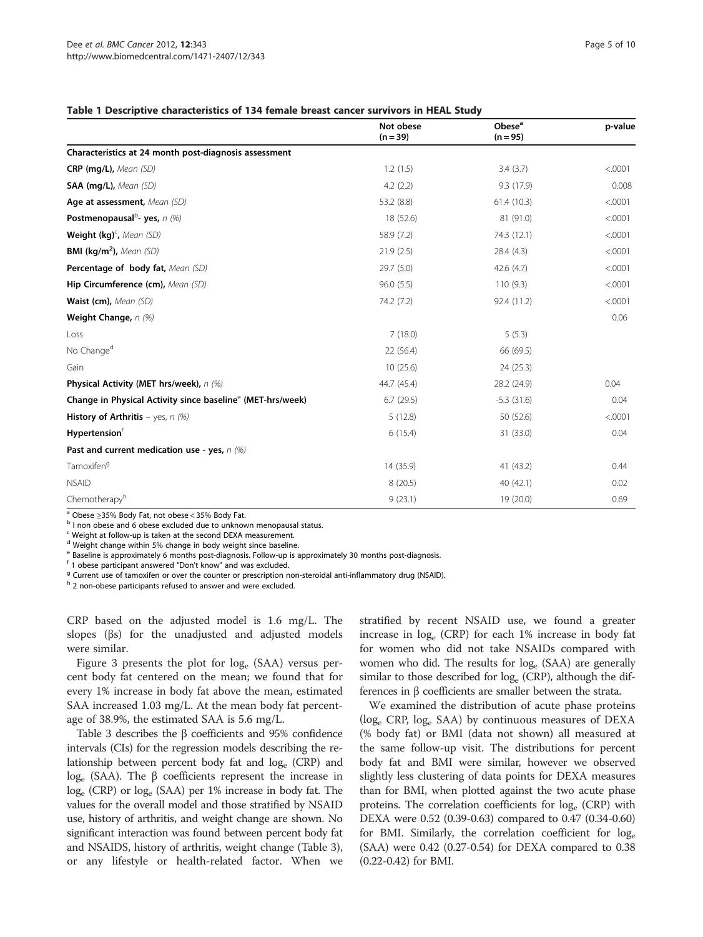#### <span id="page-4-0"></span>Table 1 Descriptive characteristics of 134 female breast cancer survivors in HEAL Study

|                                                                        | Not obese<br>$(n = 39)$ | Obese <sup>a</sup><br>$(n = 95)$ | p-value |
|------------------------------------------------------------------------|-------------------------|----------------------------------|---------|
| Characteristics at 24 month post-diagnosis assessment                  |                         |                                  |         |
| CRP (mg/L), Mean (SD)                                                  | 1.2(1.5)                | 3.4(3.7)                         | < .0001 |
| SAA (mg/L), Mean (SD)                                                  | 4.2(2.2)                | 9.3 (17.9)                       | 0.008   |
| Age at assessment, Mean (SD)                                           | 53.2 (8.8)              | 61.4(10.3)                       | < .0001 |
| Postmenopausal <sup>b</sup> - yes, $n$ (%)                             | 18 (52.6)               | 81 (91.0)                        | < .0001 |
| Weight (kg) <sup>c</sup> , Mean (SD)                                   | 58.9 (7.2)              | 74.3 (12.1)                      | < .0001 |
| <b>BMI (kg/m<sup>2</sup>),</b> Mean (SD)                               | 21.9(2.5)               | 28.4 (4.3)                       | < .0001 |
| Percentage of body fat, Mean (SD)                                      | 29.7(5.0)               | 42.6 (4.7)                       | < .0001 |
| Hip Circumference (cm), Mean (SD)                                      | 96.0(5.5)               | 110(9.3)                         | < .0001 |
| Waist (cm), Mean (SD)                                                  | 74.2 (7.2)              | 92.4 (11.2)                      | < .0001 |
| Weight Change, n (%)                                                   |                         |                                  | 0.06    |
| Loss                                                                   | 7(18.0)                 | 5(5.3)                           |         |
| No Change <sup>d</sup>                                                 | 22 (56.4)               | 66 (69.5)                        |         |
| Gain                                                                   | 10(25.6)                | 24 (25.3)                        |         |
| Physical Activity (MET hrs/week), n (%)                                | 44.7 (45.4)             | 28.2 (24.9)                      | 0.04    |
| Change in Physical Activity since baseline <sup>e</sup> (MET-hrs/week) | 6.7(29.5)               | $-5.3(31.6)$                     | 0.04    |
| <b>History of Arthritis</b> – yes, $n$ (%)                             | 5(12.8)                 | 50 (52.6)                        | < .0001 |
| <b>Hypertension</b> <sup>f</sup>                                       | 6(15.4)                 | 31 (33.0)                        | 0.04    |
| Past and current medication use - yes, n (%)                           |                         |                                  |         |
| Tamoxifen <sup>9</sup>                                                 | 14 (35.9)               | 41 (43.2)                        | 0.44    |
| <b>NSAID</b>                                                           | 8(20.5)                 | 40 (42.1)                        | 0.02    |
| Chemotherapyh                                                          | 9(23.1)                 | 19 (20.0)                        | 0.69    |

<sup>a</sup> Obese ≥35% Body Fat, not obese < 35% Body Fat.<br><sup>b</sup> I non obese and 6 obese excluded due to unknown menopausal status.

<sup>c</sup> Weight at follow-up is taken at the second DEXA measurement.

<sup>d</sup> Weight change within 5% change in body weight since baseline.

Baseline is approximately 6 months post-diagnosis. Follow-up is approximately 30 months post-diagnosis.

<sup>f</sup> 1 obese participant answered "Don't know" and was excluded.

<sup>9</sup> Current use of tamoxifen or over the counter or prescription non-steroidal anti-inflammatory drug (NSAID).

h 2 non-obese participants refused to answer and were excluded.

CRP based on the adjusted model is 1.6 mg/L. The slopes (βs) for the unadjusted and adjusted models were similar.

Figure [3](#page-6-0) presents the plot for loge (SAA) versus percent body fat centered on the mean; we found that for every 1% increase in body fat above the mean, estimated SAA increased 1.03 mg/L. At the mean body fat percentage of 38.9%, the estimated SAA is 5.6 mg/L.

Table [3](#page-6-0) describes the β coefficients and 95% confidence intervals (CIs) for the regression models describing the relationship between percent body fat and loge (CRP) and log<sub>e</sub> (SAA). The β coefficients represent the increase in loge (CRP) or loge (SAA) per 1% increase in body fat. The values for the overall model and those stratified by NSAID use, history of arthritis, and weight change are shown. No significant interaction was found between percent body fat and NSAIDS, history of arthritis, weight change (Table [3](#page-6-0)), or any lifestyle or health-related factor. When we

stratified by recent NSAID use, we found a greater increase in loge (CRP) for each 1% increase in body fat for women who did not take NSAIDs compared with women who did. The results for log<sub>e</sub> (SAA) are generally similar to those described for  $log_e$  (CRP), although the differences in β coefficients are smaller between the strata.

We examined the distribution of acute phase proteins  $(\log_e$  CRP,  $\log_e$  SAA) by continuous measures of DEXA (% body fat) or BMI (data not shown) all measured at the same follow-up visit. The distributions for percent body fat and BMI were similar, however we observed slightly less clustering of data points for DEXA measures than for BMI, when plotted against the two acute phase proteins. The correlation coefficients for  $log_e$  (CRP) with DEXA were 0.52 (0.39-0.63) compared to 0.47 (0.34-0.60) for BMI. Similarly, the correlation coefficient for log<sub>e</sub> (SAA) were 0.42 (0.27-0.54) for DEXA compared to 0.38 (0.22-0.42) for BMI.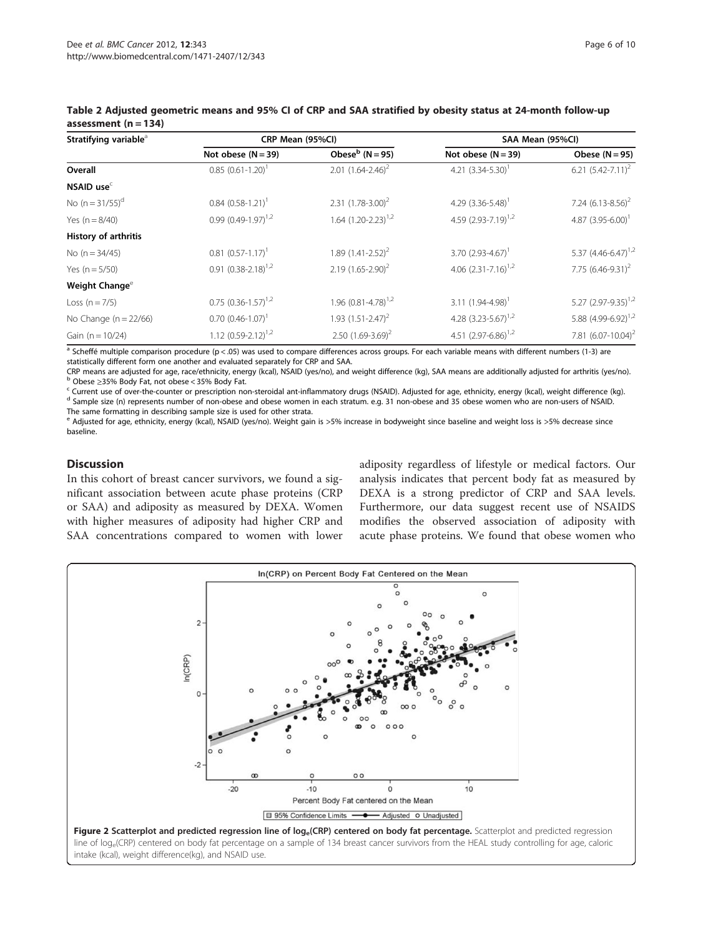| Stratifying variable <sup>a</sup> | CRP Mean (95%CI)                    |                            | SAA Mean (95%Cl)                |                            |  |
|-----------------------------------|-------------------------------------|----------------------------|---------------------------------|----------------------------|--|
|                                   | Not obese $(N = 39)$                | Obese $b$ (N = 95)         | Not obese $(N = 39)$            | Obese $(N = 95)$           |  |
| Overall                           | $0.85$ $(0.61 - 1.20)$ <sup>1</sup> | 2.01 $(1.64 - 2.46)^2$     | 4.21 $(3.34 - 5.30)$            | 6.21 $(5.42 - 7.11)^2$     |  |
| NSAID use $c$                     |                                     |                            |                                 |                            |  |
| No $(n = 31/55)^d$                | $0.84$ $(0.58-1.21)$ <sup>1</sup>   | 2.31 $(1.78-3.00)^2$       | 4.29 $(3.36 - 5.48)$            | 7.24 $(6.13 - 8.56)^2$     |  |
| Yes $(n = 8/40)$                  | 0.99 $(0.49-1.97)^{1,2}$            | 1.64 $(1.20 - 2.23)^{1.2}$ | 4.59 $(2.93 - 7.19)^{1,2}$      | 4.87 $(3.95 - 6.00)^T$     |  |
| History of arthritis              |                                     |                            |                                 |                            |  |
| No $(n = 34/45)$                  | $0.81$ $(0.57-1.17)$ <sup>1</sup>   | 1.89 $(1.41 - 2.52)^2$     | 3.70 $(2.93-4.67)$ <sup>1</sup> | 5.37 $(4.46 - 6.47)^{1,2}$ |  |
| Yes $(n = 5/50)$                  | $0.91 (0.38 - 2.18)^{1,2}$          | $2.19$ $(1.65 - 2.90)^2$   | 4.06 $(2.31 - 7.16)^{1.2}$      | 7.75 $(6.46 - 9.31)^2$     |  |
| Weight Change <sup>e</sup>        |                                     |                            |                                 |                            |  |
| Loss $(n = 7/5)$                  | $0.75$ $(0.36-1.57)^{1,2}$          | 1.96 $(0.81 - 4.78)^{1.2}$ | 3.11 $(1.94 - 4.98)^T$          | 5.27 $(2.97 - 9.35)^{1,2}$ |  |
| No Change ( $n = 22/66$ )         | $0.70$ $(0.46 - 1.07)^T$            | 1.93 $(1.51 - 2.47)^2$     | 4.28 $(3.23 - 5.67)^{1,2}$      | 5.88 $(4.99 - 6.92)^{1,2}$ |  |
| Gain ( $n = 10/24$ )              | 1.12 $(0.59 - 2.12)^{1.2}$          | 2.50 $(1.69-3.69)^2$       | 4.51 $(2.97 - 6.86)^{1,2}$      | 7.81 $(6.07 - 10.04)^2$    |  |

#### <span id="page-5-0"></span>Table 2 Adjusted geometric means and 95% CI of CRP and SAA stratified by obesity status at 24-month follow-up assessment  $(n = 134)$

<sup>a</sup> Scheffé multiple comparison procedure (p < .05) was used to compare differences across groups. For each variable means with different numbers (1-3) are statistically different form one another and evaluated separately for CRP and SAA.<br>CRP means are adjusted for age, race/ethnicity, energy (kcal), NSAID (yes/no), and weight difference (kg), SAA means are additionally adjus

b Obese ≥35% Body Fat, not obese < 35% Body Fat.<br>
Current use of over-the-counter or prescription non-steroidal ant-inflammatory drugs (NSAID). Adjusted for age, ethnicity, energy (kcal), weight difference (kg).<br>
<sup>d</sup> Sam

The same formatting in describing sample size is used for other strata.

<sup>e</sup> Adjusted for age, ethnicity, energy (kcal), NSAID (yes/no). Weight gain is >5% increase in bodyweight since baseline and weight loss is >5% decrease since baseline.

# Discussion

In this cohort of breast cancer survivors, we found a significant association between acute phase proteins (CRP or SAA) and adiposity as measured by DEXA. Women with higher measures of adiposity had higher CRP and SAA concentrations compared to women with lower

adiposity regardless of lifestyle or medical factors. Our analysis indicates that percent body fat as measured by DEXA is a strong predictor of CRP and SAA levels. Furthermore, our data suggest recent use of NSAIDS modifies the observed association of adiposity with acute phase proteins. We found that obese women who

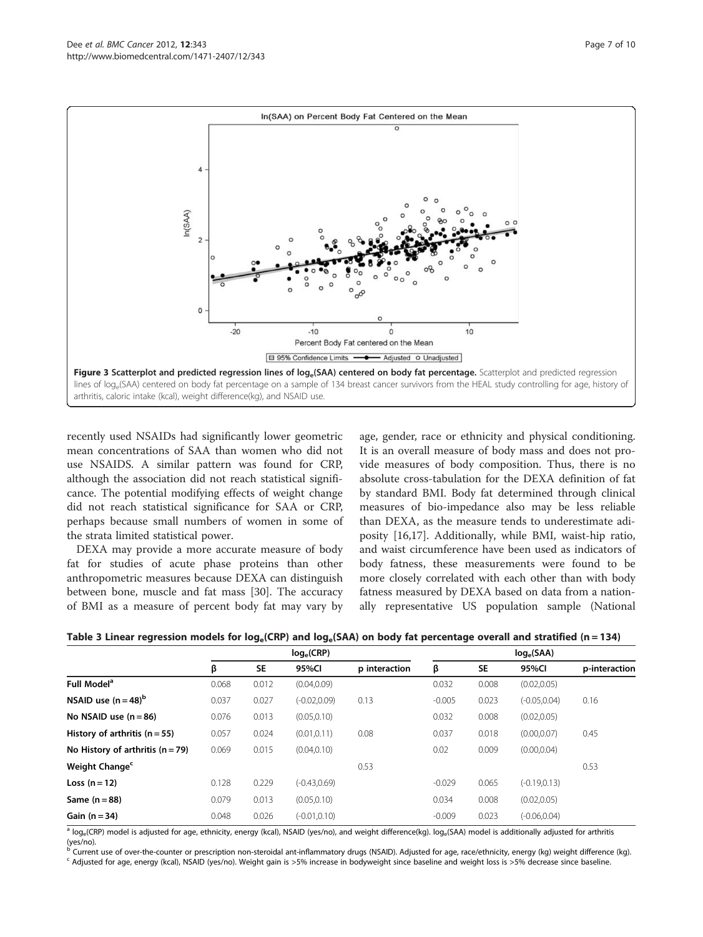<span id="page-6-0"></span>

recently used NSAIDs had significantly lower geometric mean concentrations of SAA than women who did not use NSAIDS. A similar pattern was found for CRP, although the association did not reach statistical significance. The potential modifying effects of weight change did not reach statistical significance for SAA or CRP, perhaps because small numbers of women in some of the strata limited statistical power.

DEXA may provide a more accurate measure of body fat for studies of acute phase proteins than other anthropometric measures because DEXA can distinguish between bone, muscle and fat mass [\[30](#page-9-0)]. The accuracy of BMI as a measure of percent body fat may vary by

age, gender, race or ethnicity and physical conditioning. It is an overall measure of body mass and does not provide measures of body composition. Thus, there is no absolute cross-tabulation for the DEXA definition of fat by standard BMI. Body fat determined through clinical measures of bio-impedance also may be less reliable than DEXA, as the measure tends to underestimate adiposity [[16](#page-8-0),[17](#page-8-0)]. Additionally, while BMI, waist-hip ratio, and waist circumference have been used as indicators of body fatness, these measurements were found to be more closely correlated with each other than with body fatness measured by DEXA based on data from a nationally representative US population sample (National

|                                    | $log_e(CRP)$ |           |                 | $log_e(SAA)$  |          |           |                 |               |
|------------------------------------|--------------|-----------|-----------------|---------------|----------|-----------|-----------------|---------------|
|                                    | β            | <b>SE</b> | 95%Cl           | p interaction | β        | <b>SE</b> | 95%CI           | p-interaction |
| Full Model <sup>a</sup>            | 0.068        | 0.012     | (0.04, 0.09)    |               | 0.032    | 0.008     | (0.02, 0.05)    |               |
| NSAID use $(n=48)^{b}$             | 0.037        | 0.027     | $(-0.02, 0.09)$ | 0.13          | $-0.005$ | 0.023     | $(-0.05, 0.04)$ | 0.16          |
| No NSAID use $(n = 86)$            | 0.076        | 0.013     | (0.05, 0.10)    |               | 0.032    | 0.008     | (0.02, 0.05)    |               |
| History of arthritis $(n = 55)$    | 0.057        | 0.024     | (0.01, 0.11)    | 0.08          | 0.037    | 0.018     | (0.00, 0.07)    | 0.45          |
| No History of arthritis $(n = 79)$ | 0.069        | 0.015     | (0.04, 0.10)    |               | 0.02     | 0.009     | (0.00, 0.04)    |               |
| Weight Change <sup>c</sup>         |              |           |                 | 0.53          |          |           |                 | 0.53          |
| Loss $(n=12)$                      | 0.128        | 0.229     | $(-0.43, 0.69)$ |               | $-0.029$ | 0.065     | $(-0.19, 0.13)$ |               |
| Same $(n=88)$                      | 0.079        | 0.013     | (0.05, 0.10)    |               | 0.034    | 0.008     | (0.02, 0.05)    |               |
| Gain $(n=34)$                      | 0.048        | 0.026     | $(-0.01, 0.10)$ |               | $-0.009$ | 0.023     | $(-0.06, 0.04)$ |               |

Table 3 Linear regression models for  $log_e(CRP)$  and  $log_e(SAA)$  on body fat percentage overall and stratified (n = 134)

<sup>a</sup> log<sub>e</sub>(CRP) model is adjusted for age, ethnicity, energy (kcal), NSAID (yes/no), and weight difference(kg). log<sub>e</sub>(SAA) model is additionally adjusted for arthritis

(yes/no).<br><sup>b</sup> Current use of over-the-counter or prescription non-steroidal ant-inflammatory drugs (NSAID). Adjusted for age, race/ethnicity, energy (kg) weight difference (kg).<br><sup>c</sup> Adjusted for age, energy (kcal), NSAID (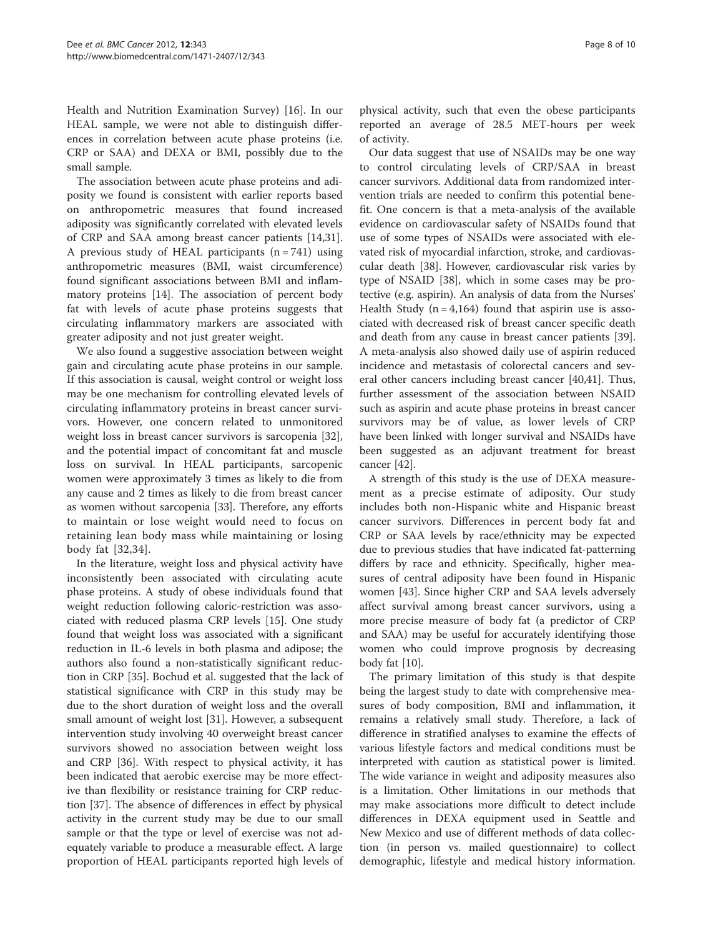Health and Nutrition Examination Survey) [\[16\]](#page-8-0). In our HEAL sample, we were not able to distinguish differences in correlation between acute phase proteins (i.e. CRP or SAA) and DEXA or BMI, possibly due to the small sample.

The association between acute phase proteins and adiposity we found is consistent with earlier reports based on anthropometric measures that found increased adiposity was significantly correlated with elevated levels of CRP and SAA among breast cancer patients [\[14](#page-8-0)[,31](#page-9-0)]. A previous study of HEAL participants  $(n = 741)$  using anthropometric measures (BMI, waist circumference) found significant associations between BMI and inflammatory proteins [[14\]](#page-8-0). The association of percent body fat with levels of acute phase proteins suggests that circulating inflammatory markers are associated with greater adiposity and not just greater weight.

We also found a suggestive association between weight gain and circulating acute phase proteins in our sample. If this association is causal, weight control or weight loss may be one mechanism for controlling elevated levels of circulating inflammatory proteins in breast cancer survivors. However, one concern related to unmonitored weight loss in breast cancer survivors is sarcopenia [\[32](#page-9-0)], and the potential impact of concomitant fat and muscle loss on survival. In HEAL participants, sarcopenic women were approximately 3 times as likely to die from any cause and 2 times as likely to die from breast cancer as women without sarcopenia [[33](#page-9-0)]. Therefore, any efforts to maintain or lose weight would need to focus on retaining lean body mass while maintaining or losing body fat [\[32,34](#page-9-0)].

In the literature, weight loss and physical activity have inconsistently been associated with circulating acute phase proteins. A study of obese individuals found that weight reduction following caloric-restriction was associated with reduced plasma CRP levels [[15\]](#page-8-0). One study found that weight loss was associated with a significant reduction in IL-6 levels in both plasma and adipose; the authors also found a non-statistically significant reduction in CRP [\[35\]](#page-9-0). Bochud et al. suggested that the lack of statistical significance with CRP in this study may be due to the short duration of weight loss and the overall small amount of weight lost [[31\]](#page-9-0). However, a subsequent intervention study involving 40 overweight breast cancer survivors showed no association between weight loss and CRP [\[36\]](#page-9-0). With respect to physical activity, it has been indicated that aerobic exercise may be more effective than flexibility or resistance training for CRP reduction [\[37\]](#page-9-0). The absence of differences in effect by physical activity in the current study may be due to our small sample or that the type or level of exercise was not adequately variable to produce a measurable effect. A large proportion of HEAL participants reported high levels of physical activity, such that even the obese participants reported an average of 28.5 MET-hours per week of activity.

Our data suggest that use of NSAIDs may be one way to control circulating levels of CRP/SAA in breast cancer survivors. Additional data from randomized intervention trials are needed to confirm this potential benefit. One concern is that a meta-analysis of the available evidence on cardiovascular safety of NSAIDs found that use of some types of NSAIDs were associated with elevated risk of myocardial infarction, stroke, and cardiovascular death [[38\]](#page-9-0). However, cardiovascular risk varies by type of NSAID [\[38](#page-9-0)], which in some cases may be protective (e.g. aspirin). An analysis of data from the Nurses' Health Study  $(n = 4,164)$  found that aspirin use is associated with decreased risk of breast cancer specific death and death from any cause in breast cancer patients [[39](#page-9-0)]. A meta-analysis also showed daily use of aspirin reduced incidence and metastasis of colorectal cancers and several other cancers including breast cancer [[40,41\]](#page-9-0). Thus, further assessment of the association between NSAID such as aspirin and acute phase proteins in breast cancer survivors may be of value, as lower levels of CRP have been linked with longer survival and NSAIDs have been suggested as an adjuvant treatment for breast cancer [\[42](#page-9-0)].

A strength of this study is the use of DEXA measurement as a precise estimate of adiposity. Our study includes both non-Hispanic white and Hispanic breast cancer survivors. Differences in percent body fat and CRP or SAA levels by race/ethnicity may be expected due to previous studies that have indicated fat-patterning differs by race and ethnicity. Specifically, higher measures of central adiposity have been found in Hispanic women [\[43\]](#page-9-0). Since higher CRP and SAA levels adversely affect survival among breast cancer survivors, using a more precise measure of body fat (a predictor of CRP and SAA) may be useful for accurately identifying those women who could improve prognosis by decreasing body fat [[10\]](#page-8-0).

The primary limitation of this study is that despite being the largest study to date with comprehensive measures of body composition, BMI and inflammation, it remains a relatively small study. Therefore, a lack of difference in stratified analyses to examine the effects of various lifestyle factors and medical conditions must be interpreted with caution as statistical power is limited. The wide variance in weight and adiposity measures also is a limitation. Other limitations in our methods that may make associations more difficult to detect include differences in DEXA equipment used in Seattle and New Mexico and use of different methods of data collection (in person vs. mailed questionnaire) to collect demographic, lifestyle and medical history information.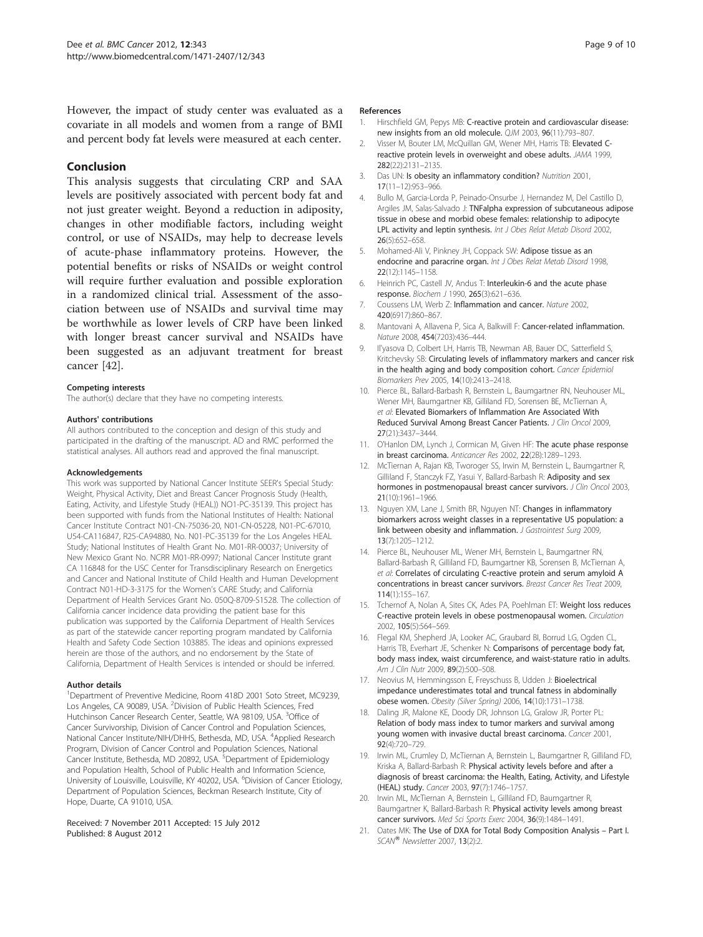<span id="page-8-0"></span>However, the impact of study center was evaluated as a covariate in all models and women from a range of BMI and percent body fat levels were measured at each center.

## Conclusion

This analysis suggests that circulating CRP and SAA levels are positively associated with percent body fat and not just greater weight. Beyond a reduction in adiposity, changes in other modifiable factors, including weight control, or use of NSAIDs, may help to decrease levels of acute-phase inflammatory proteins. However, the potential benefits or risks of NSAIDs or weight control will require further evaluation and possible exploration in a randomized clinical trial. Assessment of the association between use of NSAIDs and survival time may be worthwhile as lower levels of CRP have been linked with longer breast cancer survival and NSAIDs have been suggested as an adjuvant treatment for breast cancer [[42](#page-9-0)].

#### Competing interests

The author(s) declare that they have no competing interests.

#### Authors' contributions

All authors contributed to the conception and design of this study and participated in the drafting of the manuscript. AD and RMC performed the statistical analyses. All authors read and approved the final manuscript.

#### Acknowledgements

This work was supported by National Cancer Institute SEER's Special Study: Weight, Physical Activity, Diet and Breast Cancer Prognosis Study (Health, Eating, Activity, and Lifestyle Study (HEAL)) NO1-PC-35139. This project has been supported with funds from the National Institutes of Health: National Cancer Institute Contract N01-CN-75036-20, N01-CN-05228, N01-PC-67010, U54-CA116847, R25-CA94880, No. N01-PC-35139 for the Los Angeles HEAL Study; National Institutes of Health Grant No. M01-RR-00037; University of New Mexico Grant No. NCRR M01-RR-0997; National Cancer Institute grant CA 116848 for the USC Center for Transdisciplinary Research on Energetics and Cancer and National Institute of Child Health and Human Development Contract N01-HD-3-3175 for the Women's CARE Study; and California Department of Health Services Grant No. 050Q-8709-S1528. The collection of California cancer incidence data providing the patient base for this publication was supported by the California Department of Health Services as part of the statewide cancer reporting program mandated by California Health and Safety Code Section 103885. The ideas and opinions expressed herein are those of the authors, and no endorsement by the State of California, Department of Health Services is intended or should be inferred.

#### Author details

<sup>1</sup>Department of Preventive Medicine, Room 418D 2001 Soto Street, MC9239, Los Angeles, CA 90089, USA. <sup>2</sup>Division of Public Health Sciences, Fred Hutchinson Cancer Research Center, Seattle, WA 98109, USA. <sup>3</sup>Office of Cancer Survivorship, Division of Cancer Control and Population Sciences, National Cancer Institute/NIH/DHHS, Bethesda, MD, USA. <sup>4</sup>Applied Research Program, Division of Cancer Control and Population Sciences, National Cancer Institute, Bethesda, MD 20892, USA. <sup>5</sup>Department of Epidemiology and Population Health, School of Public Health and Information Science, University of Louisville, Louisville, KY 40202, USA. <sup>6</sup>Division of Cancer Etiology, Department of Population Sciences, Beckman Research Institute, City of Hope, Duarte, CA 91010, USA.

#### Received: 7 November 2011 Accepted: 15 July 2012 Published: 8 August 2012

#### References

- Hirschfield GM, Pepys MB: C-reactive protein and cardiovascular disease: new insights from an old molecule. QJM 2003, 96(11):793–807.
- 2. Visser M, Bouter LM, McQuillan GM, Wener MH, Harris TB: Elevated Creactive protein levels in overweight and obese adults. JAMA 1999, 282(22):2131–2135.
- 3. Das UN: Is obesity an inflammatory condition? Nutrition 2001, 17(11–12):953–966.
- 4. Bullo M, Garcia-Lorda P, Peinado-Onsurbe J, Hernandez M, Del Castillo D, Argiles JM, Salas-Salvado J: TNFalpha expression of subcutaneous adipose tissue in obese and morbid obese females: relationship to adipocyte LPL activity and leptin synthesis. Int J Obes Relat Metab Disord 2002, 26(5):652–658.
- 5. Mohamed-Ali V, Pinkney JH, Coppack SW: Adipose tissue as an endocrine and paracrine organ. Int J Obes Relat Metab Disord 1998, 22(12):1145–1158.
- 6. Heinrich PC, Castell JV, Andus T: Interleukin-6 and the acute phase response. Biochem J 1990, 265(3):621–636.
- 7. Coussens LM, Werb Z: Inflammation and cancer. Nature 2002, 420(6917):860–867.
- 8. Mantovani A, Allavena P, Sica A, Balkwill F: Cancer-related inflammation. Nature 2008, 454(7203):436–444.
- 9. Il'yasova D, Colbert LH, Harris TB, Newman AB, Bauer DC, Satterfield S, Kritchevsky SB: Circulating levels of inflammatory markers and cancer risk in the health aging and body composition cohort. Cancer Epidemiol Biomarkers Prev 2005, 14(10):2413–2418.
- 10. Pierce BL, Ballard-Barbash R, Bernstein L, Baumgartner RN, Neuhouser ML, Wener MH, Baumgartner KB, Gilliland FD, Sorensen BE, McTiernan A, et al: Elevated Biomarkers of Inflammation Are Associated With Reduced Survival Among Breast Cancer Patients. J Clin Oncol 2009, 27(21):3437–3444.
- 11. O'Hanlon DM, Lynch J, Cormican M, Given HF: The acute phase response in breast carcinoma. Anticancer Res 2002, 22(2B):1289-1293.
- 12. McTiernan A, Rajan KB, Tworoger SS, Irwin M, Bernstein L, Baumgartner R, Gilliland F, Stanczyk FZ, Yasui Y, Ballard-Barbash R: Adiposity and sex hormones in postmenopausal breast cancer survivors. J Clin Oncol 2003, 21(10):1961–1966.
- 13. Nguyen XM, Lane J, Smith BR, Nguyen NT: Changes in inflammatory biomarkers across weight classes in a representative US population: a link between obesity and inflammation. J Gastrointest Surg 2009, 13(7):1205–1212.
- 14. Pierce BL, Neuhouser ML, Wener MH, Bernstein L, Baumgartner RN, Ballard-Barbash R, Gilliland FD, Baumgartner KB, Sorensen B, McTiernan A, et al: Correlates of circulating C-reactive protein and serum amyloid A concentrations in breast cancer survivors. Breast Cancer Res Treat 2009, 114(1):155–167.
- 15. Tchernof A, Nolan A, Sites CK, Ades PA, Poehlman ET: Weight loss reduces C-reactive protein levels in obese postmenopausal women. Circulation 2002, 105(5):564–569.
- 16. Flegal KM, Shepherd JA, Looker AC, Graubard BI, Borrud LG, Ogden CL, Harris TB, Everhart JE, Schenker N: Comparisons of percentage body fat, body mass index, waist circumference, and waist-stature ratio in adults. Am J Clin Nutr 2009, 89(2):500-508.
- 17. Neovius M, Hemmingsson E, Freyschuss B, Udden J: Bioelectrical impedance underestimates total and truncal fatness in abdominally obese women. Obesity (Silver Spring) 2006, 14(10):1731–1738.
- 18. Daling JR, Malone KE, Doody DR, Johnson LG, Gralow JR, Porter PL: Relation of body mass index to tumor markers and survival among young women with invasive ductal breast carcinoma. Cancer 2001, 92(4):720–729.
- 19. Irwin ML, Crumley D, McTiernan A, Bernstein L, Baumgartner R, Gilliland FD, Kriska A, Ballard-Barbash R: Physical activity levels before and after a diagnosis of breast carcinoma: the Health, Eating, Activity, and Lifestyle (HEAL) study. Cancer 2003, 97(7):1746–1757.
- 20. Irwin ML, McTiernan A, Bernstein L, Gilliland FD, Baumgartner R, Baumgartner K, Ballard-Barbash R: Physical activity levels among breast cancer survivors. Med Sci Sports Exerc 2004, 36(9):1484–1491.
- 21. Oates MK: The Use of DXA for Total Body Composition Analysis Part I. SCAN<sup>®</sup> Newsletter 2007, 13(2):2.